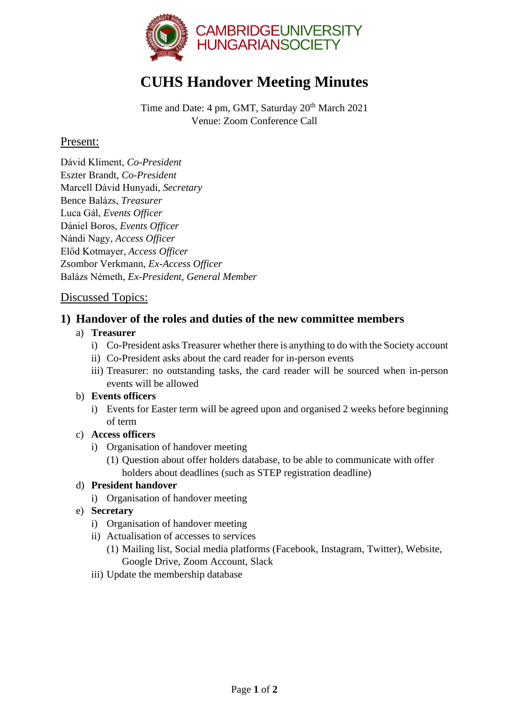

# **CUHS Handover Meeting Minutes**

Time and Date: 4 pm, GMT, Saturday 20<sup>th</sup> March 2021 Venue: Zoom Conference Call

## Present:

Dávid Kliment, *Co-President* Eszter Brandt, *Co-President* Marcell Dávid Hunyadi, *Secretary* Bence Balázs, *Treasurer* Luca Gál, *Events Officer* Dániel Boros, *Events Officer* Nándi Nagy, *Access Officer* Előd Kotmayer, *Access Officer* Zsombor Verkmann, *Ex-Access Officer* Balázs Németh, *Ex-President, General Member*

## Discussed Topics:

# **1) Handover of the roles and duties of the new committee members**

### a) **Treasurer**

- i) Co-President asks Treasurer whether there is anything to do with the Society account
- ii) Co-President asks about the card reader for in-person events
- iii) Treasurer: no outstanding tasks, the card reader will be sourced when in-person events will be allowed

#### b) **Events officers**

i) Events for Easter term will be agreed upon and organised 2 weeks before beginning of term

#### c) **Access officers**

- i) Organisation of handover meeting
	- (1) Question about offer holders database, to be able to communicate with offer holders about deadlines (such as STEP registration deadline)

### d) **President handover**

- i) Organisation of handover meeting
- e) **Secretary**
	- i) Organisation of handover meeting
	- ii) Actualisation of accesses to services
		- (1) Mailing list, Social media platforms (Facebook, Instagram, Twitter), Website, Google Drive, Zoom Account, Slack
	- iii) Update the membership database